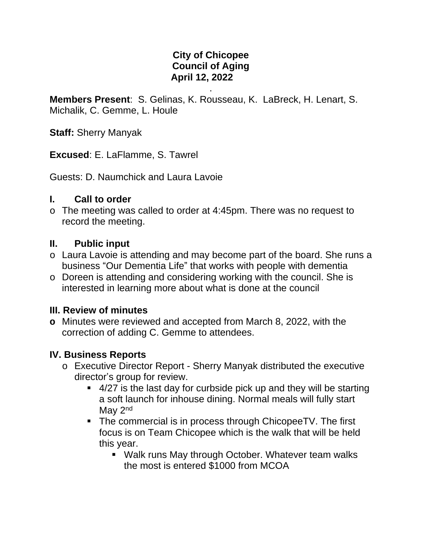### **City of Chicopee Council of Aging April 12, 2022**

. **Members Present**: S. Gelinas, K. Rousseau, K. LaBreck, H. Lenart, S. Michalik, C. Gemme, L. Houle

**Staff:** Sherry Manyak

**Excused**: E. LaFlamme, S. Tawrel

Guests: D. Naumchick and Laura Lavoie

### **I. Call to order**

o The meeting was called to order at 4:45pm. There was no request to record the meeting.

### **II. Public input**

- o Laura Lavoie is attending and may become part of the board. She runs a business "Our Dementia Life" that works with people with dementia
- o Doreen is attending and considering working with the council. She is interested in learning more about what is done at the council

#### **III. Review of minutes**

**o** Minutes were reviewed and accepted from March 8, 2022, with the correction of adding C. Gemme to attendees.

## **IV. Business Reports**

- o Executive Director Report Sherry Manyak distributed the executive director's group for review.
	- 4/27 is the last day for curbside pick up and they will be starting a soft launch for inhouse dining. Normal meals will fully start May 2<sup>nd</sup>
	- The commercial is in process through ChicopeeTV. The first focus is on Team Chicopee which is the walk that will be held this year.
		- Walk runs May through October. Whatever team walks the most is entered \$1000 from MCOA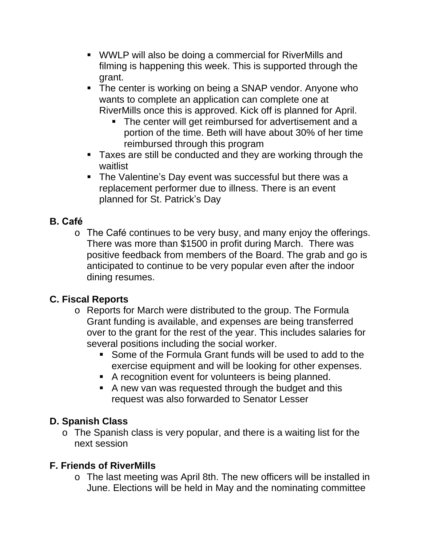- WWLP will also be doing a commercial for RiverMills and filming is happening this week. This is supported through the grant.
- **The center is working on being a SNAP vendor. Anyone who** wants to complete an application can complete one at RiverMills once this is approved. Kick off is planned for April.
	- The center will get reimbursed for advertisement and a portion of the time. Beth will have about 30% of her time reimbursed through this program
- **Taxes are still be conducted and they are working through the** waitlist
- The Valentine's Day event was successful but there was a replacement performer due to illness. There is an event planned for St. Patrick's Day

# **B. Café**

o The Café continues to be very busy, and many enjoy the offerings. There was more than \$1500 in profit during March. There was positive feedback from members of the Board. The grab and go is anticipated to continue to be very popular even after the indoor dining resumes.

# **C. Fiscal Reports**

- o Reports for March were distributed to the group. The Formula Grant funding is available, and expenses are being transferred over to the grant for the rest of the year. This includes salaries for several positions including the social worker.
	- Some of the Formula Grant funds will be used to add to the exercise equipment and will be looking for other expenses.
	- A recognition event for volunteers is being planned.
	- A new van was requested through the budget and this request was also forwarded to Senator Lesser

# **D. Spanish Class**

o The Spanish class is very popular, and there is a waiting list for the next session

# **F. Friends of RiverMills**

o The last meeting was April 8th. The new officers will be installed in June. Elections will be held in May and the nominating committee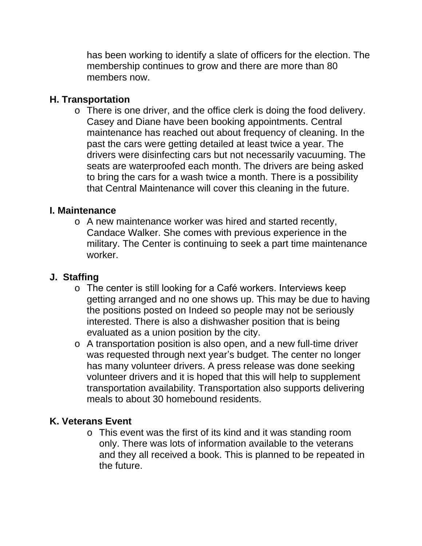has been working to identify a slate of officers for the election. The membership continues to grow and there are more than 80 members now.

## **H. Transportation**

o There is one driver, and the office clerk is doing the food delivery. Casey and Diane have been booking appointments. Central maintenance has reached out about frequency of cleaning. In the past the cars were getting detailed at least twice a year. The drivers were disinfecting cars but not necessarily vacuuming. The seats are waterproofed each month. The drivers are being asked to bring the cars for a wash twice a month. There is a possibility that Central Maintenance will cover this cleaning in the future.

### **I. Maintenance**

o A new maintenance worker was hired and started recently, Candace Walker. She comes with previous experience in the military. The Center is continuing to seek a part time maintenance worker.

## **J. Staffing**

- o The center is still looking for a Café workers. Interviews keep getting arranged and no one shows up. This may be due to having the positions posted on Indeed so people may not be seriously interested. There is also a dishwasher position that is being evaluated as a union position by the city.
- o A transportation position is also open, and a new full-time driver was requested through next year's budget. The center no longer has many volunteer drivers. A press release was done seeking volunteer drivers and it is hoped that this will help to supplement transportation availability. Transportation also supports delivering meals to about 30 homebound residents.

## **K. Veterans Event**

o This event was the first of its kind and it was standing room only. There was lots of information available to the veterans and they all received a book. This is planned to be repeated in the future.